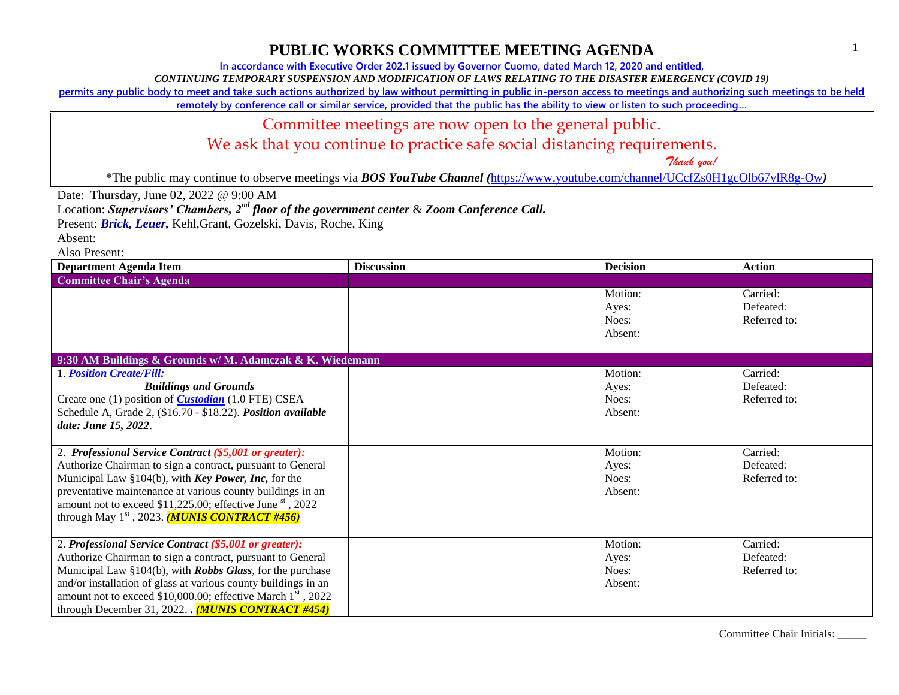**In accordance with Executive Order 202.1 issued by Governor Cuomo, dated March 12, 2020 and entitled,**

*CONTINUING TEMPORARY SUSPENSION AND MODIFICATION OF LAWS RELATING TO THE DISASTER EMERGENCY (COVID 19)*

**permits any public body to meet and take such actions authorized by law without permitting in public in-person access to meetings and authorizing such meetings to be held** 

**remotely by conference call or similar service, provided that the public has the ability to view or listen to such proceeding…**

#### Committee meetings are now open to the general public.

We ask that you continue to practice safe social distancing requirements.

 *Thank you!*

\*The public may continue to observe meetings via *BOS YouTube Channel (*<https://www.youtube.com/channel/UCcfZs0H1gcOlb67vlR8g-Ow>*)*

Date: Thursday, June 02, 2022 @ 9:00 AM

Location: *Supervisors' Chambers, 2nd floor of the government center* & *Zoom Conference Call.*

Present: *Brick, Leuer,* Kehl,Grant, Gozelski, Davis, Roche, King

Absent:

Also Present:

| <b>Department Agenda Item</b>                                                                                                                                                                                                                                                                                                                                                         | <b>Discussion</b> | <b>Decision</b>                      | <b>Action</b>                         |
|---------------------------------------------------------------------------------------------------------------------------------------------------------------------------------------------------------------------------------------------------------------------------------------------------------------------------------------------------------------------------------------|-------------------|--------------------------------------|---------------------------------------|
| <b>Committee Chair's Agenda</b>                                                                                                                                                                                                                                                                                                                                                       |                   |                                      |                                       |
|                                                                                                                                                                                                                                                                                                                                                                                       |                   | Motion:<br>Ayes:<br>Noes:<br>Absent: | Carried:<br>Defeated:<br>Referred to: |
| 9:30 AM Buildings & Grounds w/M. Adamczak & K. Wiedemann                                                                                                                                                                                                                                                                                                                              |                   |                                      |                                       |
| <b>1. Position Create/Fill:</b><br><b>Buildings and Grounds</b><br>Create one (1) position of <i>Custodian</i> (1.0 FTE) CSEA<br>Schedule A, Grade 2, (\$16.70 - \$18.22). Position available<br>date: June 15, 2022.                                                                                                                                                                 |                   | Motion:<br>Ayes:<br>Noes:<br>Absent: | Carried:<br>Defeated:<br>Referred to: |
| 2. Professional Service Contract (\$5,001 or greater):<br>Authorize Chairman to sign a contract, pursuant to General<br>Municipal Law §104(b), with Key Power, Inc, for the<br>preventative maintenance at various county buildings in an<br>amount not to exceed \$11,225.00; effective June st, 2022<br>through May $1st$ , 2023. ( <b>MUNIS CONTRACT #456</b> )                    |                   | Motion:<br>Ayes:<br>Noes:<br>Absent: | Carried:<br>Defeated:<br>Referred to: |
| 2. Professional Service Contract (\$5,001 or greater):<br>Authorize Chairman to sign a contract, pursuant to General<br>Municipal Law §104(b), with Robbs Glass, for the purchase<br>and/or installation of glass at various county buildings in an<br>amount not to exceed \$10,000.00; effective March 1 <sup>st</sup> , 2022<br>through December 31, 2022. $(MUNIS$ CONTRACT #454) |                   | Motion:<br>Aves:<br>Noes:<br>Absent: | Carried:<br>Defeated:<br>Referred to: |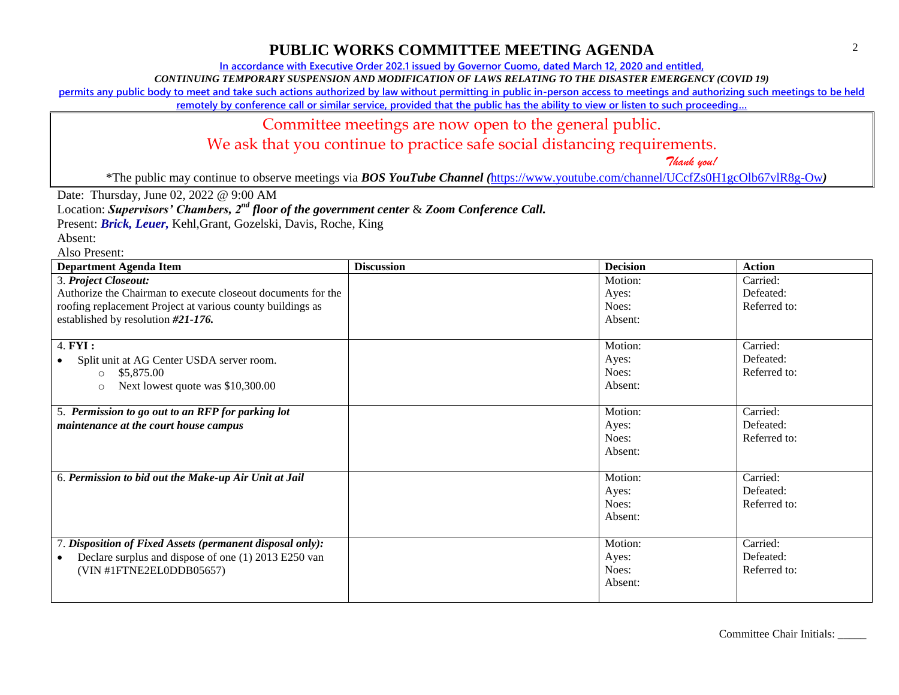**In accordance with Executive Order 202.1 issued by Governor Cuomo, dated March 12, 2020 and entitled,**

*CONTINUING TEMPORARY SUSPENSION AND MODIFICATION OF LAWS RELATING TO THE DISASTER EMERGENCY (COVID 19)*

**permits any public body to meet and take such actions authorized by law without permitting in public in-person access to meetings and authorizing such meetings to be held** 

**remotely by conference call or similar service, provided that the public has the ability to view or listen to such proceeding…**

## Committee meetings are now open to the general public.

We ask that you continue to practice safe social distancing requirements.

 *Thank you!*

\*The public may continue to observe meetings via *BOS YouTube Channel (*<https://www.youtube.com/channel/UCcfZs0H1gcOlb67vlR8g-Ow>*)*

Date: Thursday, June 02, 2022 @ 9:00 AM

Location: *Supervisors' Chambers, 2nd floor of the government center* & *Zoom Conference Call.*

Present: *Brick, Leuer,* Kehl,Grant, Gozelski, Davis, Roche, King

Absent:

Also Present:

| <b>Department Agenda Item</b>                                | <b>Discussion</b> | <b>Decision</b> | <b>Action</b> |
|--------------------------------------------------------------|-------------------|-----------------|---------------|
| 3. Project Closeout:                                         |                   | Motion:         | Carried:      |
| Authorize the Chairman to execute closeout documents for the |                   | Ayes:           | Defeated:     |
| roofing replacement Project at various county buildings as   |                   | Noes:           | Referred to:  |
| established by resolution #21-176.                           |                   | Absent:         |               |
|                                                              |                   |                 |               |
| 4. <b>FYI</b> :                                              |                   | Motion:         | Carried:      |
| Split unit at AG Center USDA server room.                    |                   | Ayes:           | Defeated:     |
| \$5,875.00<br>$\circ$                                        |                   | Noes:           | Referred to:  |
| Next lowest quote was \$10,300.00<br>$\circ$                 |                   | Absent:         |               |
|                                                              |                   |                 |               |
| 5. Permission to go out to an RFP for parking lot            |                   | Motion:         | Carried:      |
| maintenance at the court house campus                        |                   | Ayes:           | Defeated:     |
|                                                              |                   | Noes:           | Referred to:  |
|                                                              |                   | Absent:         |               |
|                                                              |                   |                 |               |
| 6. Permission to bid out the Make-up Air Unit at Jail        |                   | Motion:         | Carried:      |
|                                                              |                   | Ayes:           | Defeated:     |
|                                                              |                   | Noes:           | Referred to:  |
|                                                              |                   | Absent:         |               |
|                                                              |                   |                 |               |
| 7. Disposition of Fixed Assets (permanent disposal only):    |                   | Motion:         | Carried:      |
| Declare surplus and dispose of one (1) 2013 E250 van         |                   | Ayes:           | Defeated:     |
| (VIN #1FTNE2EL0DDB05657)                                     |                   | Noes:           | Referred to:  |
|                                                              |                   | Absent:         |               |
|                                                              |                   |                 |               |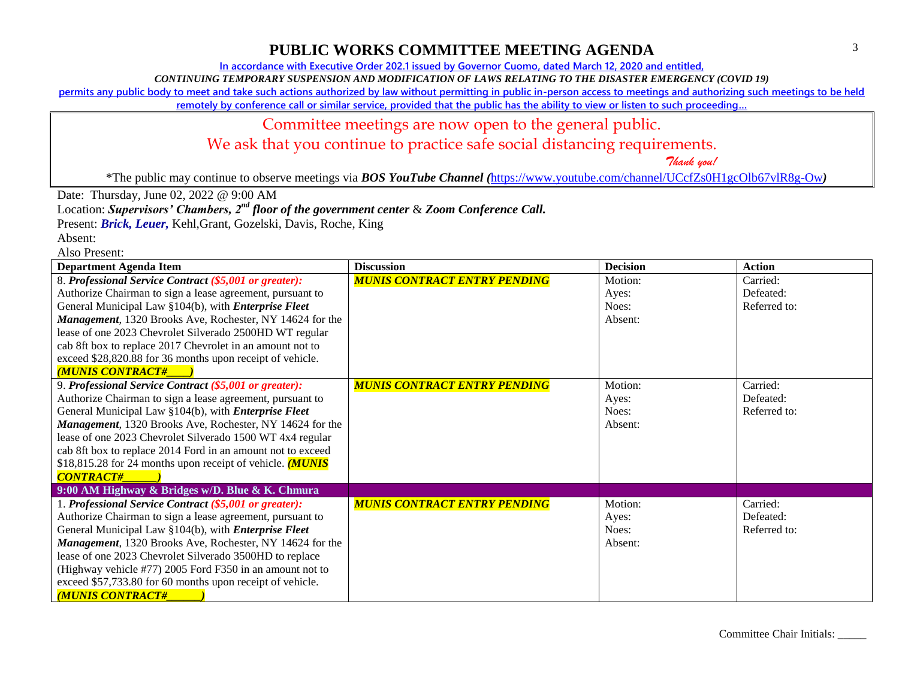**In accordance with Executive Order 202.1 issued by Governor Cuomo, dated March 12, 2020 and entitled,**

*CONTINUING TEMPORARY SUSPENSION AND MODIFICATION OF LAWS RELATING TO THE DISASTER EMERGENCY (COVID 19)*

**permits any public body to meet and take such actions authorized by law without permitting in public in-person access to meetings and authorizing such meetings to be held** 

**remotely by conference call or similar service, provided that the public has the ability to view or listen to such proceeding…**

#### Committee meetings are now open to the general public.

We ask that you continue to practice safe social distancing requirements.

 *Thank you!*

\*The public may continue to observe meetings via *BOS YouTube Channel (*<https://www.youtube.com/channel/UCcfZs0H1gcOlb67vlR8g-Ow>*)*

Date: Thursday, June 02, 2022 @ 9:00 AM

Location: *Supervisors' Chambers, 2nd floor of the government center* & *Zoom Conference Call.*

Present: *Brick, Leuer,* Kehl,Grant, Gozelski, Davis, Roche, King

Absent:

Also Present:

| <b>Department Agenda Item</b>                                | <b>Discussion</b>                   | <b>Decision</b> | <b>Action</b> |
|--------------------------------------------------------------|-------------------------------------|-----------------|---------------|
| 8. Professional Service Contract (\$5,001 or greater):       | <b>MUNIS CONTRACT ENTRY PENDING</b> | Motion:         | Carried:      |
| Authorize Chairman to sign a lease agreement, pursuant to    |                                     | Ayes:           | Defeated:     |
| General Municipal Law §104(b), with <i>Enterprise Fleet</i>  |                                     | Noes:           | Referred to:  |
| Management, 1320 Brooks Ave, Rochester, NY 14624 for the     |                                     | Absent:         |               |
| lease of one 2023 Chevrolet Silverado 2500HD WT regular      |                                     |                 |               |
| cab 8ft box to replace 2017 Chevrolet in an amount not to    |                                     |                 |               |
| exceed \$28,820.88 for 36 months upon receipt of vehicle.    |                                     |                 |               |
| <b>MUNIS CONTRACT#</b>                                       |                                     |                 |               |
| 9. Professional Service Contract (\$5,001 or greater):       | <b>MUNIS CONTRACT ENTRY PENDING</b> | Motion:         | Carried:      |
| Authorize Chairman to sign a lease agreement, pursuant to    |                                     | Ayes:           | Defeated:     |
| General Municipal Law §104(b), with <i>Enterprise Fleet</i>  |                                     | Noes:           | Referred to:  |
| Management, 1320 Brooks Ave, Rochester, NY 14624 for the     |                                     | Absent:         |               |
| lease of one 2023 Chevrolet Silverado 1500 WT 4x4 regular    |                                     |                 |               |
| cab 8ft box to replace 2014 Ford in an amount not to exceed  |                                     |                 |               |
| \$18,815.28 for 24 months upon receipt of vehicle. $(MUNIS)$ |                                     |                 |               |
| <b>CONTRACT#</b>                                             |                                     |                 |               |
| 9:00 AM Highway & Bridges w/D. Blue & K. Chmura              |                                     |                 |               |
| 1. Professional Service Contract (\$5,001 or greater):       | <b>MUNIS CONTRACT ENTRY PENDING</b> | Motion:         | Carried:      |
| Authorize Chairman to sign a lease agreement, pursuant to    |                                     | Ayes:           | Defeated:     |
| General Municipal Law §104(b), with <i>Enterprise Fleet</i>  |                                     | Noes:           | Referred to:  |
| Management, 1320 Brooks Ave, Rochester, NY 14624 for the     |                                     | Absent:         |               |
| lease of one 2023 Chevrolet Silverado 3500HD to replace      |                                     |                 |               |
| (Highway vehicle #77) 2005 Ford F350 in an amount not to     |                                     |                 |               |
| exceed \$57,733.80 for 60 months upon receipt of vehicle.    |                                     |                 |               |
| <b>MUNIS CONTRACT#</b>                                       |                                     |                 |               |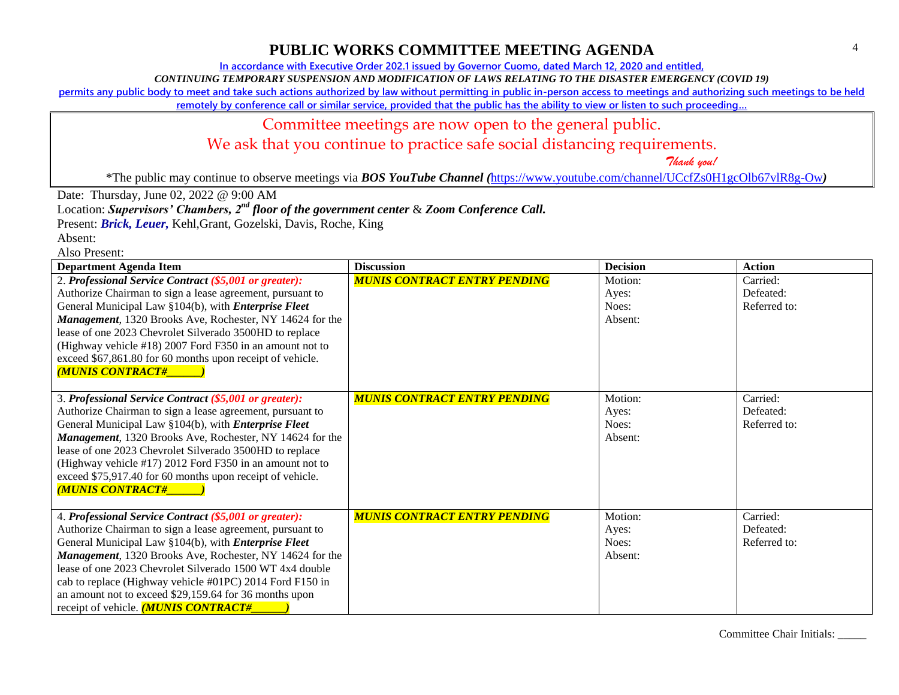**In accordance with Executive Order 202.1 issued by Governor Cuomo, dated March 12, 2020 and entitled,**

*CONTINUING TEMPORARY SUSPENSION AND MODIFICATION OF LAWS RELATING TO THE DISASTER EMERGENCY (COVID 19)*

**permits any public body to meet and take such actions authorized by law without permitting in public in-person access to meetings and authorizing such meetings to be held** 

**remotely by conference call or similar service, provided that the public has the ability to view or listen to such proceeding…**

#### Committee meetings are now open to the general public.

We ask that you continue to practice safe social distancing requirements.

 *Thank you!*

\*The public may continue to observe meetings via *BOS YouTube Channel (*<https://www.youtube.com/channel/UCcfZs0H1gcOlb67vlR8g-Ow>*)*

Date: Thursday, June 02, 2022 @ 9:00 AM

Location: *Supervisors' Chambers, 2nd floor of the government center* & *Zoom Conference Call.*

Present: *Brick, Leuer,* Kehl,Grant, Gozelski, Davis, Roche, King

Absent:

Also Present:

| <b>Department Agenda Item</b>                                                                                                                                                                                                                                                                                                                                                                                                                                            | <b>Discussion</b>                   | <b>Decision</b>                      | <b>Action</b>                         |
|--------------------------------------------------------------------------------------------------------------------------------------------------------------------------------------------------------------------------------------------------------------------------------------------------------------------------------------------------------------------------------------------------------------------------------------------------------------------------|-------------------------------------|--------------------------------------|---------------------------------------|
| 2. Professional Service Contract (\$5,001 or greater):<br>Authorize Chairman to sign a lease agreement, pursuant to<br>General Municipal Law §104(b), with <i>Enterprise Fleet</i><br>Management, 1320 Brooks Ave, Rochester, NY 14624 for the<br>lease of one 2023 Chevrolet Silverado 3500HD to replace<br>(Highway vehicle #18) 2007 Ford F350 in an amount not to<br>exceed \$67,861.80 for 60 months upon receipt of vehicle.<br><b>MUNIS CONTRACT#</b>             | <b>MUNIS CONTRACT ENTRY PENDING</b> | Motion:<br>Ayes:<br>Noes:<br>Absent: | Carried:<br>Defeated:<br>Referred to: |
| 3. Professional Service Contract (\$5,001 or greater):<br>Authorize Chairman to sign a lease agreement, pursuant to<br>General Municipal Law §104(b), with <i>Enterprise Fleet</i><br>Management, 1320 Brooks Ave, Rochester, NY 14624 for the<br>lease of one 2023 Chevrolet Silverado 3500HD to replace<br>(Highway vehicle #17) 2012 Ford F350 in an amount not to<br>exceed \$75,917.40 for 60 months upon receipt of vehicle.<br><b>MUNIS CONTRACT#</b>             | <b>MUNIS CONTRACT ENTRY PENDING</b> | Motion:<br>Ayes:<br>Noes:<br>Absent: | Carried:<br>Defeated:<br>Referred to: |
| 4. Professional Service Contract (\$5,001 or greater):<br>Authorize Chairman to sign a lease agreement, pursuant to<br>General Municipal Law §104(b), with <i>Enterprise Fleet</i><br>Management, 1320 Brooks Ave, Rochester, NY 14624 for the<br>lease of one 2023 Chevrolet Silverado 1500 WT 4x4 double<br>cab to replace (Highway vehicle #01PC) 2014 Ford F150 in<br>an amount not to exceed \$29,159.64 for 36 months upon<br>receipt of vehicle. (MUNIS CONTRACT# | <b>MUNIS CONTRACT ENTRY PENDING</b> | Motion:<br>Ayes:<br>Noes:<br>Absent: | Carried:<br>Defeated:<br>Referred to: |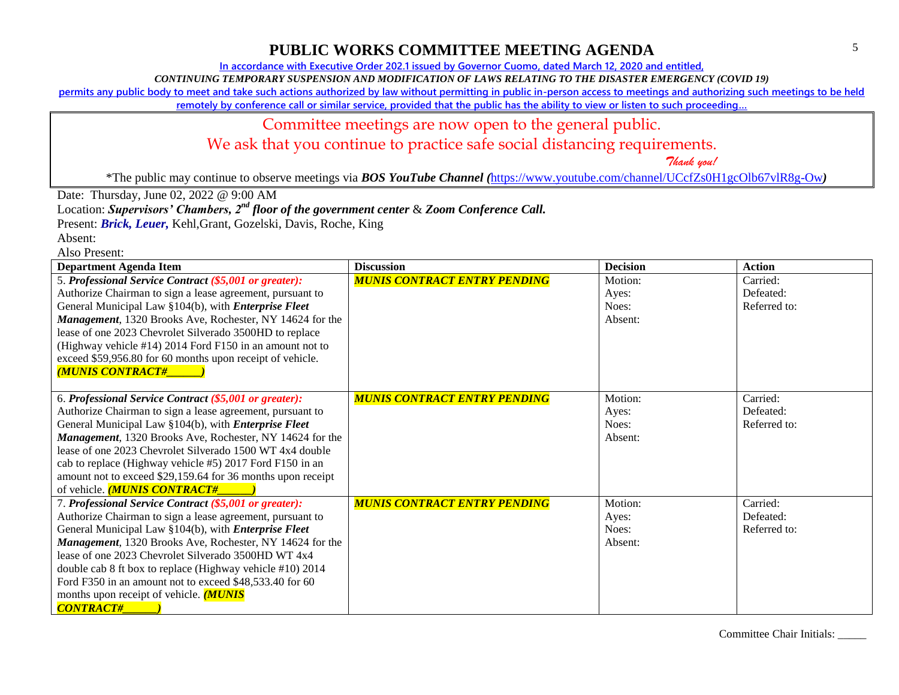**In accordance with Executive Order 202.1 issued by Governor Cuomo, dated March 12, 2020 and entitled,**

*CONTINUING TEMPORARY SUSPENSION AND MODIFICATION OF LAWS RELATING TO THE DISASTER EMERGENCY (COVID 19)*

**permits any public body to meet and take such actions authorized by law without permitting in public in-person access to meetings and authorizing such meetings to be held** 

**remotely by conference call or similar service, provided that the public has the ability to view or listen to such proceeding…**

#### Committee meetings are now open to the general public.

We ask that you continue to practice safe social distancing requirements.

 *Thank you!*

\*The public may continue to observe meetings via *BOS YouTube Channel (*<https://www.youtube.com/channel/UCcfZs0H1gcOlb67vlR8g-Ow>*)*

Date: Thursday, June 02, 2022 @ 9:00 AM

Location: *Supervisors' Chambers, 2nd floor of the government center* & *Zoom Conference Call.*

Present: *Brick, Leuer,* Kehl,Grant, Gozelski, Davis, Roche, King

Absent:

Also Present:

| <b>Department Agenda Item</b>                               | <b>Discussion</b>                   | <b>Decision</b> | <b>Action</b> |
|-------------------------------------------------------------|-------------------------------------|-----------------|---------------|
| 5. Professional Service Contract (\$5,001 or greater):      | <b>MUNIS CONTRACT ENTRY PENDING</b> | Motion:         | Carried:      |
| Authorize Chairman to sign a lease agreement, pursuant to   |                                     | Ayes:           | Defeated:     |
| General Municipal Law §104(b), with <i>Enterprise Fleet</i> |                                     | Noes:           | Referred to:  |
| Management, 1320 Brooks Ave, Rochester, NY 14624 for the    |                                     | Absent:         |               |
| lease of one 2023 Chevrolet Silverado 3500HD to replace     |                                     |                 |               |
| (Highway vehicle #14) 2014 Ford F150 in an amount not to    |                                     |                 |               |
| exceed \$59,956.80 for 60 months upon receipt of vehicle.   |                                     |                 |               |
| <b>(MUNIS CONTRACT#</b>                                     |                                     |                 |               |
|                                                             |                                     |                 |               |
| 6. Professional Service Contract (\$5,001 or greater):      | <b>MUNIS CONTRACT ENTRY PENDING</b> | Motion:         | Carried:      |
| Authorize Chairman to sign a lease agreement, pursuant to   |                                     | Ayes:           | Defeated:     |
| General Municipal Law §104(b), with <i>Enterprise Fleet</i> |                                     | Noes:           | Referred to:  |
| Management, 1320 Brooks Ave, Rochester, NY 14624 for the    |                                     | Absent:         |               |
| lease of one 2023 Chevrolet Silverado 1500 WT 4x4 double    |                                     |                 |               |
| cab to replace (Highway vehicle #5) 2017 Ford F150 in an    |                                     |                 |               |
| amount not to exceed \$29,159.64 for 36 months upon receipt |                                     |                 |               |
| of vehicle. (MUNIS CONTRACT#                                |                                     |                 |               |
| 7. Professional Service Contract (\$5,001 or greater):      | <b>MUNIS CONTRACT ENTRY PENDING</b> | Motion:         | Carried:      |
| Authorize Chairman to sign a lease agreement, pursuant to   |                                     | Ayes:           | Defeated:     |
| General Municipal Law §104(b), with <i>Enterprise Fleet</i> |                                     | Noes:           | Referred to:  |
| Management, 1320 Brooks Ave, Rochester, NY 14624 for the    |                                     | Absent:         |               |
| lease of one 2023 Chevrolet Silverado 3500HD WT 4x4         |                                     |                 |               |
| double cab 8 ft box to replace (Highway vehicle #10) 2014   |                                     |                 |               |
| Ford F350 in an amount not to exceed \$48,533.40 for 60     |                                     |                 |               |
| months upon receipt of vehicle. ( <b>MUNIS</b>              |                                     |                 |               |
| <b>CONTRACT#</b>                                            |                                     |                 |               |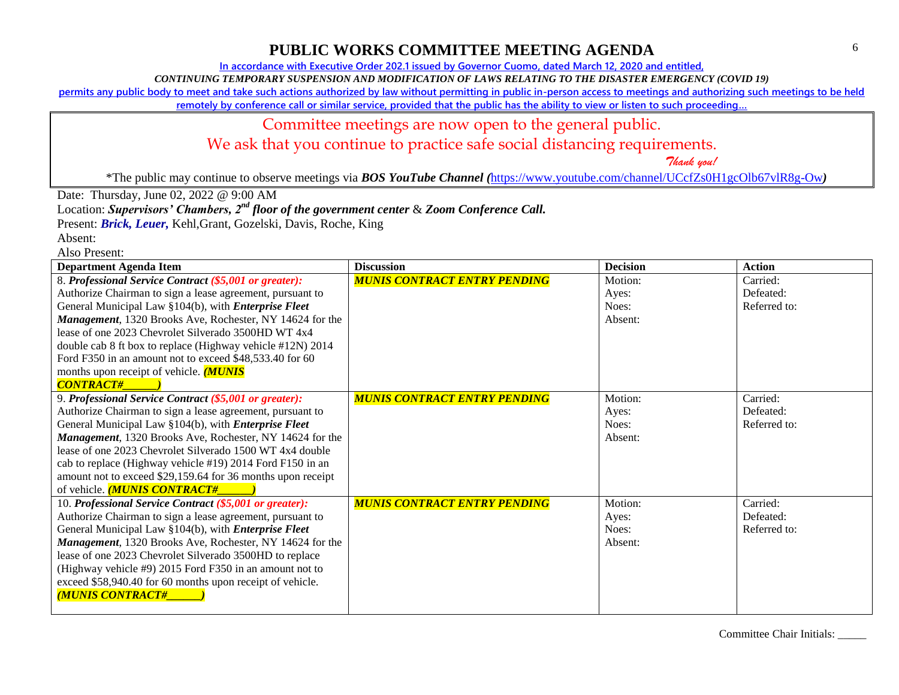**In accordance with Executive Order 202.1 issued by Governor Cuomo, dated March 12, 2020 and entitled,**

*CONTINUING TEMPORARY SUSPENSION AND MODIFICATION OF LAWS RELATING TO THE DISASTER EMERGENCY (COVID 19)*

**permits any public body to meet and take such actions authorized by law without permitting in public in-person access to meetings and authorizing such meetings to be held** 

**remotely by conference call or similar service, provided that the public has the ability to view or listen to such proceeding…**

#### Committee meetings are now open to the general public.

We ask that you continue to practice safe social distancing requirements.

 *Thank you!*

\*The public may continue to observe meetings via *BOS YouTube Channel (*<https://www.youtube.com/channel/UCcfZs0H1gcOlb67vlR8g-Ow>*)*

Date: Thursday, June 02, 2022 @ 9:00 AM

Location: *Supervisors' Chambers, 2nd floor of the government center* & *Zoom Conference Call.*

Present: *Brick, Leuer,* Kehl,Grant, Gozelski, Davis, Roche, King

Absent:

Also Present:

| <b>Department Agenda Item</b>                               | <b>Discussion</b>                   | <b>Decision</b> | <b>Action</b> |
|-------------------------------------------------------------|-------------------------------------|-----------------|---------------|
| 8. Professional Service Contract (\$5,001 or greater):      | <b>MUNIS CONTRACT ENTRY PENDING</b> | Motion:         | Carried:      |
| Authorize Chairman to sign a lease agreement, pursuant to   |                                     | Ayes:           | Defeated:     |
| General Municipal Law §104(b), with <i>Enterprise Fleet</i> |                                     | Noes:           | Referred to:  |
| Management, 1320 Brooks Ave, Rochester, NY 14624 for the    |                                     | Absent:         |               |
| lease of one 2023 Chevrolet Silverado 3500HD WT 4x4         |                                     |                 |               |
| double cab 8 ft box to replace (Highway vehicle #12N) 2014  |                                     |                 |               |
| Ford F350 in an amount not to exceed \$48,533.40 for 60     |                                     |                 |               |
| months upon receipt of vehicle. <b>(MUNIS</b>               |                                     |                 |               |
| <b>CONTRACT#</b>                                            |                                     |                 |               |
| 9. Professional Service Contract (\$5,001 or greater):      | <b>MUNIS CONTRACT ENTRY PENDING</b> | Motion:         | Carried:      |
| Authorize Chairman to sign a lease agreement, pursuant to   |                                     | Ayes:           | Defeated:     |
| General Municipal Law §104(b), with <i>Enterprise Fleet</i> |                                     | Noes:           | Referred to:  |
| Management, 1320 Brooks Ave, Rochester, NY 14624 for the    |                                     | Absent:         |               |
| lease of one 2023 Chevrolet Silverado 1500 WT 4x4 double    |                                     |                 |               |
| cab to replace (Highway vehicle #19) 2014 Ford F150 in an   |                                     |                 |               |
| amount not to exceed \$29,159.64 for 36 months upon receipt |                                     |                 |               |
| of vehicle. (MUNIS CONTRACT#                                |                                     |                 |               |
| 10. Professional Service Contract (\$5,001 or greater):     | <b>MUNIS CONTRACT ENTRY PENDING</b> | Motion:         | Carried:      |
| Authorize Chairman to sign a lease agreement, pursuant to   |                                     | Ayes:           | Defeated:     |
| General Municipal Law §104(b), with <i>Enterprise Fleet</i> |                                     | Noes:           | Referred to:  |
| Management, 1320 Brooks Ave, Rochester, NY 14624 for the    |                                     | Absent:         |               |
| lease of one 2023 Chevrolet Silverado 3500HD to replace     |                                     |                 |               |
| (Highway vehicle #9) 2015 Ford F350 in an amount not to     |                                     |                 |               |
| exceed \$58,940.40 for 60 months upon receipt of vehicle.   |                                     |                 |               |
| <b>MUNIS CONTRACT#</b>                                      |                                     |                 |               |
|                                                             |                                     |                 |               |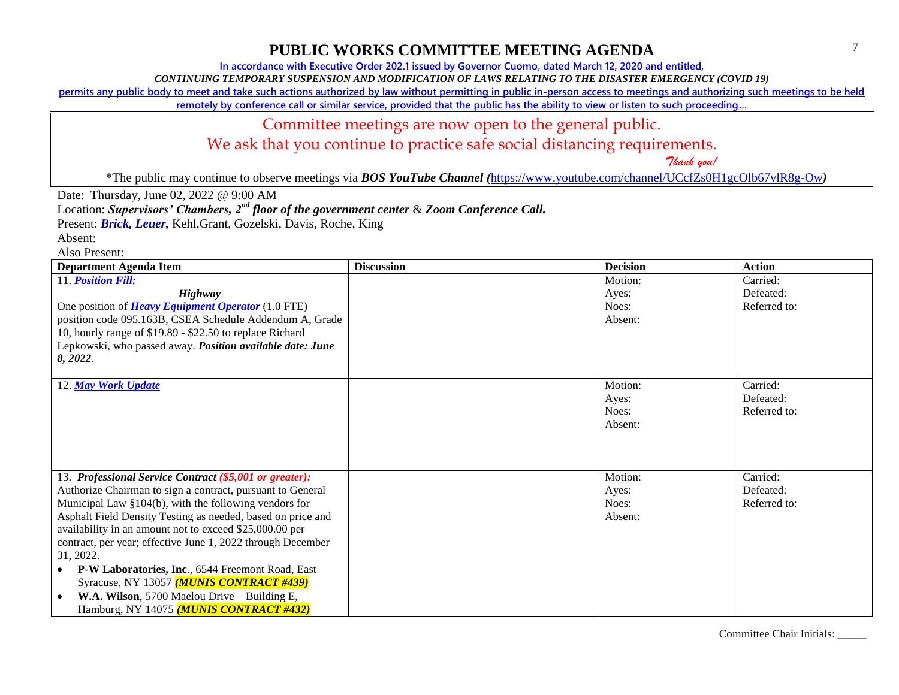**In accordance with Executive Order 202.1 issued by Governor Cuomo, dated March 12, 2020 and entitled,**

*CONTINUING TEMPORARY SUSPENSION AND MODIFICATION OF LAWS RELATING TO THE DISASTER EMERGENCY (COVID 19)*

**permits any public body to meet and take such actions authorized by law without permitting in public in-person access to meetings and authorizing such meetings to be held** 

**remotely by conference call or similar service, provided that the public has the ability to view or listen to such proceeding…**

#### Committee meetings are now open to the general public.

We ask that you continue to practice safe social distancing requirements.

 *Thank you!*

\*The public may continue to observe meetings via *BOS YouTube Channel (*<https://www.youtube.com/channel/UCcfZs0H1gcOlb67vlR8g-Ow>*)*

Date: Thursday, June 02, 2022 @ 9:00 AM

Location: *Supervisors' Chambers, 2nd floor of the government center* & *Zoom Conference Call.*

Present: *Brick, Leuer,* Kehl,Grant, Gozelski, Davis, Roche, King

Absent:

Also Present:

| <b>Department Agenda Item</b>                               | <b>Discussion</b> | <b>Decision</b> | <b>Action</b> |
|-------------------------------------------------------------|-------------------|-----------------|---------------|
| 11. Position Fill:                                          |                   | Motion:         | Carried:      |
| <b>Highway</b>                                              |                   | Ayes:           | Defeated:     |
| One position of <b>Heavy Equipment Operator</b> (1.0 FTE)   |                   | Noes:           | Referred to:  |
| position code 095.163B, CSEA Schedule Addendum A, Grade     |                   | Absent:         |               |
| 10, hourly range of \$19.89 - \$22.50 to replace Richard    |                   |                 |               |
| Lepkowski, who passed away. Position available date: June   |                   |                 |               |
| 8, 2022.                                                    |                   |                 |               |
|                                                             |                   |                 |               |
| 12. May Work Update                                         |                   | Motion:         | Carried:      |
|                                                             |                   | Ayes:           | Defeated:     |
|                                                             |                   | Noes:           | Referred to:  |
|                                                             |                   | Absent:         |               |
|                                                             |                   |                 |               |
|                                                             |                   |                 |               |
|                                                             |                   |                 |               |
| 13. Professional Service Contract (\$5,001 or greater):     |                   | Motion:         | Carried:      |
| Authorize Chairman to sign a contract, pursuant to General  |                   | Ayes:           | Defeated:     |
| Municipal Law §104(b), with the following vendors for       |                   | Noes:           | Referred to:  |
| Asphalt Field Density Testing as needed, based on price and |                   | Absent:         |               |
| availability in an amount not to exceed \$25,000.00 per     |                   |                 |               |
| contract, per year; effective June 1, 2022 through December |                   |                 |               |
| 31, 2022.                                                   |                   |                 |               |
| P-W Laboratories, Inc., 6544 Freemont Road, East            |                   |                 |               |
| Syracuse, NY 13057 (MUNIS CONTRACT #439)                    |                   |                 |               |
| W.A. Wilson, 5700 Maelou Drive - Building E,                |                   |                 |               |
| Hamburg, NY 14075 ( <i>MUNIS CONTRACT #432</i> )            |                   |                 |               |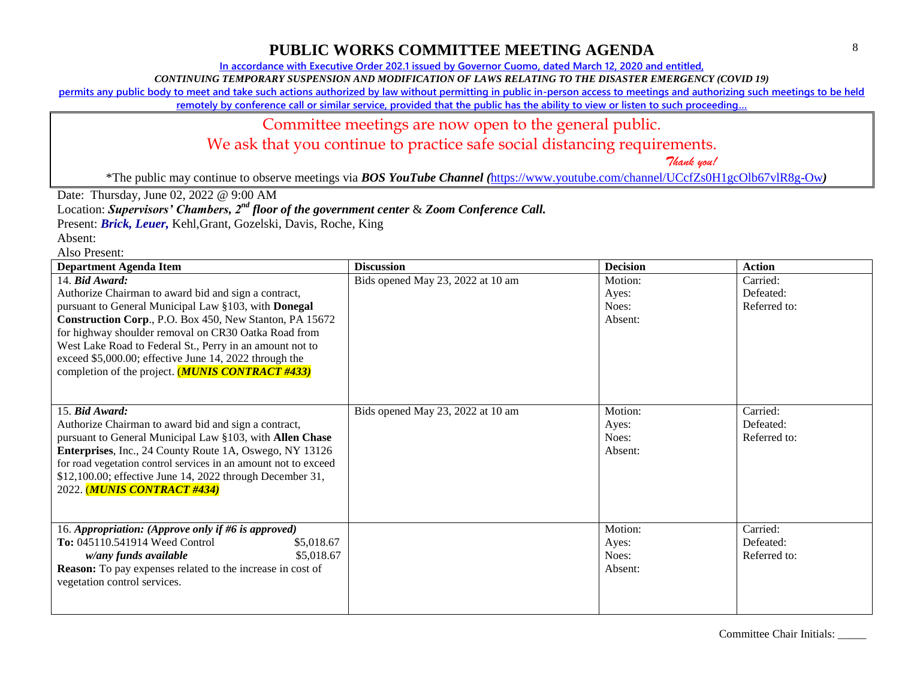**In accordance with Executive Order 202.1 issued by Governor Cuomo, dated March 12, 2020 and entitled,**

*CONTINUING TEMPORARY SUSPENSION AND MODIFICATION OF LAWS RELATING TO THE DISASTER EMERGENCY (COVID 19)*

**permits any public body to meet and take such actions authorized by law without permitting in public in-person access to meetings and authorizing such meetings to be held** 

**remotely by conference call or similar service, provided that the public has the ability to view or listen to such proceeding…**

## Committee meetings are now open to the general public.

We ask that you continue to practice safe social distancing requirements.

 *Thank you!*

\*The public may continue to observe meetings via *BOS YouTube Channel (*<https://www.youtube.com/channel/UCcfZs0H1gcOlb67vlR8g-Ow>*)*

Date: Thursday, June 02, 2022 @ 9:00 AM

Location: *Supervisors' Chambers, 2nd floor of the government center* & *Zoom Conference Call.*

Present: *Brick, Leuer,* Kehl,Grant, Gozelski, Davis, Roche, King

Absent:

Also Present:

| <b>Department Agenda Item</b>                                                                                                                                                                                                                                                                                                                                                                                                        | <b>Discussion</b>                 | <b>Decision</b>                      | <b>Action</b>                         |
|--------------------------------------------------------------------------------------------------------------------------------------------------------------------------------------------------------------------------------------------------------------------------------------------------------------------------------------------------------------------------------------------------------------------------------------|-----------------------------------|--------------------------------------|---------------------------------------|
| 14. Bid Award:<br>Authorize Chairman to award bid and sign a contract,<br>pursuant to General Municipal Law §103, with Donegal<br>Construction Corp., P.O. Box 450, New Stanton, PA 15672<br>for highway shoulder removal on CR30 Oatka Road from<br>West Lake Road to Federal St., Perry in an amount not to<br>exceed \$5,000.00; effective June 14, 2022 through the<br>completion of the project. ( <b>MUNIS CONTRACT #433</b> ) | Bids opened May 23, 2022 at 10 am | Motion:<br>Ayes:<br>Noes:<br>Absent: | Carried:<br>Defeated:<br>Referred to: |
| 15. Bid Award:<br>Authorize Chairman to award bid and sign a contract,<br>pursuant to General Municipal Law §103, with Allen Chase<br>Enterprises, Inc., 24 County Route 1A, Oswego, NY 13126<br>for road vegetation control services in an amount not to exceed<br>\$12,100.00; effective June 14, 2022 through December 31,<br>2022. (MUNIS CONTRACT #434)                                                                         | Bids opened May 23, 2022 at 10 am | Motion:<br>Ayes:<br>Noes:<br>Absent: | Carried:<br>Defeated:<br>Referred to: |
| 16. Appropriation: (Approve only if #6 is approved)<br><b>To:</b> 045110.541914 Weed Control<br>\$5,018.67<br>\$5,018.67<br>w/any funds available<br><b>Reason:</b> To pay expenses related to the increase in cost of<br>vegetation control services.                                                                                                                                                                               |                                   | Motion:<br>Ayes:<br>Noes:<br>Absent: | Carried:<br>Defeated:<br>Referred to: |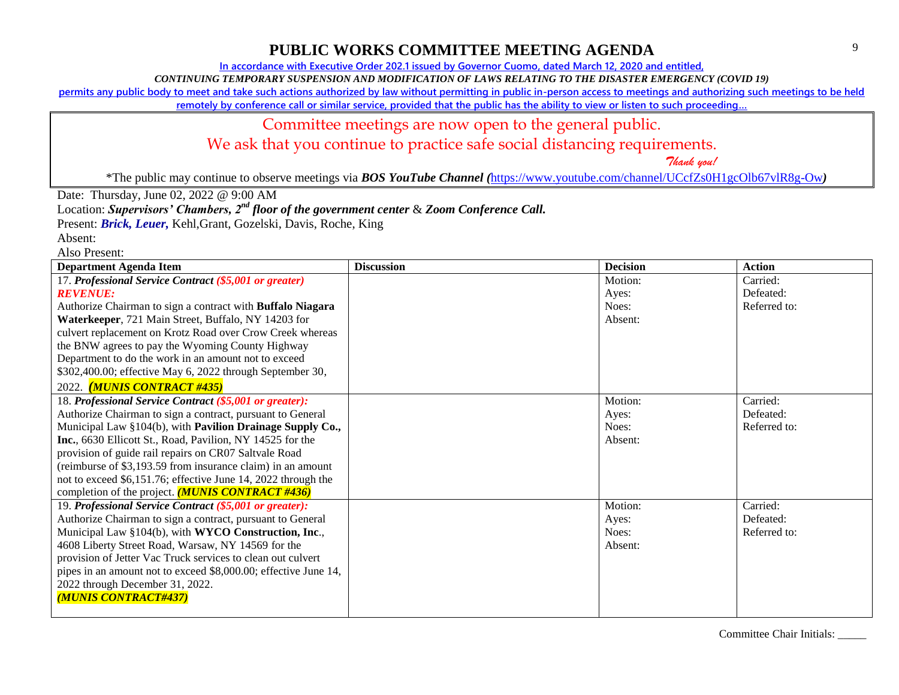**In accordance with Executive Order 202.1 issued by Governor Cuomo, dated March 12, 2020 and entitled,**

*CONTINUING TEMPORARY SUSPENSION AND MODIFICATION OF LAWS RELATING TO THE DISASTER EMERGENCY (COVID 19)*

**permits any public body to meet and take such actions authorized by law without permitting in public in-person access to meetings and authorizing such meetings to be held** 

**remotely by conference call or similar service, provided that the public has the ability to view or listen to such proceeding…**

#### Committee meetings are now open to the general public.

We ask that you continue to practice safe social distancing requirements.

 *Thank you!*

\*The public may continue to observe meetings via *BOS YouTube Channel (*<https://www.youtube.com/channel/UCcfZs0H1gcOlb67vlR8g-Ow>*)*

Date: Thursday, June 02, 2022 @ 9:00 AM

Location: *Supervisors' Chambers, 2nd floor of the government center* & *Zoom Conference Call.*

Present: *Brick, Leuer,* Kehl,Grant, Gozelski, Davis, Roche, King

Absent:

Also Present:

| <b>Department Agenda Item</b>                                   | <b>Discussion</b> | <b>Decision</b> | <b>Action</b> |
|-----------------------------------------------------------------|-------------------|-----------------|---------------|
| 17. Professional Service Contract (\$5,001 or greater)          |                   | Motion:         | Carried:      |
| <b>REVENUE:</b>                                                 |                   | Ayes:           | Defeated:     |
| Authorize Chairman to sign a contract with Buffalo Niagara      |                   | Noes:           | Referred to:  |
| Waterkeeper, 721 Main Street, Buffalo, NY 14203 for             |                   | Absent:         |               |
| culvert replacement on Krotz Road over Crow Creek whereas       |                   |                 |               |
| the BNW agrees to pay the Wyoming County Highway                |                   |                 |               |
| Department to do the work in an amount not to exceed            |                   |                 |               |
| \$302,400.00; effective May 6, 2022 through September 30,       |                   |                 |               |
| 2022. (MUNIS CONTRACT #435)                                     |                   |                 |               |
| 18. Professional Service Contract (\$5,001 or greater):         |                   | Motion:         | Carried:      |
| Authorize Chairman to sign a contract, pursuant to General      |                   | Ayes:           | Defeated:     |
| Municipal Law §104(b), with Pavilion Drainage Supply Co.,       |                   | Noes:           | Referred to:  |
| Inc., 6630 Ellicott St., Road, Pavilion, NY 14525 for the       |                   | Absent:         |               |
| provision of guide rail repairs on CR07 Saltvale Road           |                   |                 |               |
| (reimburse of \$3,193.59 from insurance claim) in an amount     |                   |                 |               |
| not to exceed \$6,151.76; effective June 14, 2022 through the   |                   |                 |               |
| completion of the project. (MUNIS CONTRACT #436)                |                   |                 |               |
| 19. Professional Service Contract (\$5,001 or greater):         |                   | Motion:         | Carried:      |
| Authorize Chairman to sign a contract, pursuant to General      |                   | Ayes:           | Defeated:     |
| Municipal Law §104(b), with WYCO Construction, Inc.,            |                   | Noes:           | Referred to:  |
| 4608 Liberty Street Road, Warsaw, NY 14569 for the              |                   | Absent:         |               |
| provision of Jetter Vac Truck services to clean out culvert     |                   |                 |               |
| pipes in an amount not to exceed \$8,000.00; effective June 14, |                   |                 |               |
| 2022 through December 31, 2022.                                 |                   |                 |               |
| (MUNIS CONTRACT#437)                                            |                   |                 |               |
|                                                                 |                   |                 |               |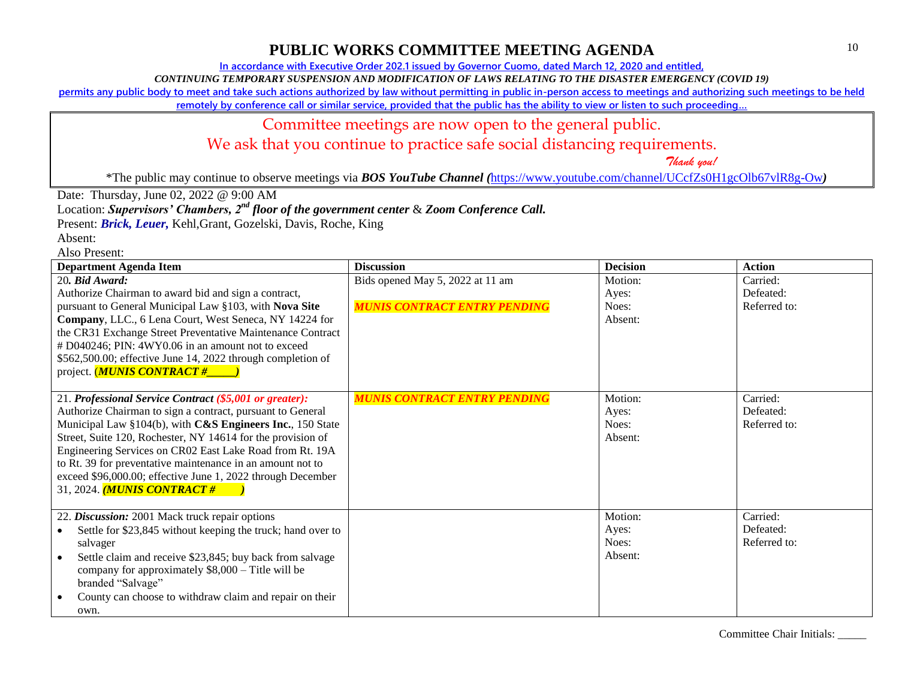**In accordance with Executive Order 202.1 issued by Governor Cuomo, dated March 12, 2020 and entitled,**

*CONTINUING TEMPORARY SUSPENSION AND MODIFICATION OF LAWS RELATING TO THE DISASTER EMERGENCY (COVID 19)*

**permits any public body to meet and take such actions authorized by law without permitting in public in-person access to meetings and authorizing such meetings to be held** 

**remotely by conference call or similar service, provided that the public has the ability to view or listen to such proceeding…**

## Committee meetings are now open to the general public.

We ask that you continue to practice safe social distancing requirements.

 *Thank you!*

\*The public may continue to observe meetings via *BOS YouTube Channel (*<https://www.youtube.com/channel/UCcfZs0H1gcOlb67vlR8g-Ow>*)*

Date: Thursday, June 02, 2022 @ 9:00 AM

Location: *Supervisors' Chambers, 2nd floor of the government center* & *Zoom Conference Call.*

Present: *Brick, Leuer,* Kehl,Grant, Gozelski, Davis, Roche, King

Absent:

Also Present:

| <b>Department Agenda Item</b>                                                                                                                                                                                                                                                                                                                                                                                                                                                   | <b>Discussion</b>                                                       | <b>Decision</b>                      | <b>Action</b>                         |
|---------------------------------------------------------------------------------------------------------------------------------------------------------------------------------------------------------------------------------------------------------------------------------------------------------------------------------------------------------------------------------------------------------------------------------------------------------------------------------|-------------------------------------------------------------------------|--------------------------------------|---------------------------------------|
| 20. Bid Award:<br>Authorize Chairman to award bid and sign a contract,<br>pursuant to General Municipal Law §103, with Nova Site<br>Company, LLC., 6 Lena Court, West Seneca, NY 14224 for<br>the CR31 Exchange Street Preventative Maintenance Contract<br># D040246; PIN: 4WY0.06 in an amount not to exceed<br>\$562,500.00; effective June 14, 2022 through completion of<br>project. <i>MUNIS CONTRACT</i> #                                                               | Bids opened May 5, 2022 at 11 am<br><b>MUNIS CONTRACT ENTRY PENDING</b> | Motion:<br>Ayes:<br>Noes:<br>Absent: | Carried:<br>Defeated:<br>Referred to: |
| 21. Professional Service Contract (\$5,001 or greater):<br>Authorize Chairman to sign a contract, pursuant to General<br>Municipal Law §104(b), with C&S Engineers Inc., 150 State<br>Street, Suite 120, Rochester, NY 14614 for the provision of<br>Engineering Services on CR02 East Lake Road from Rt. 19A<br>to Rt. 39 for preventative maintenance in an amount not to<br>exceed \$96,000.00; effective June 1, 2022 through December<br>31, 2024. <i>MUNIS CONTRACT</i> # | <b>MUNIS CONTRACT ENTRY PENDING</b>                                     | Motion:<br>Ayes:<br>Noes:<br>Absent: | Carried:<br>Defeated:<br>Referred to: |
| 22. Discussion: 2001 Mack truck repair options<br>Settle for \$23,845 without keeping the truck; hand over to<br>salvager<br>Settle claim and receive \$23,845; buy back from salvage<br>company for approximately \$8,000 - Title will be<br>branded "Salvage"<br>County can choose to withdraw claim and repair on their<br>own.                                                                                                                                              |                                                                         | Motion:<br>Ayes:<br>Noes:<br>Absent: | Carried:<br>Defeated:<br>Referred to: |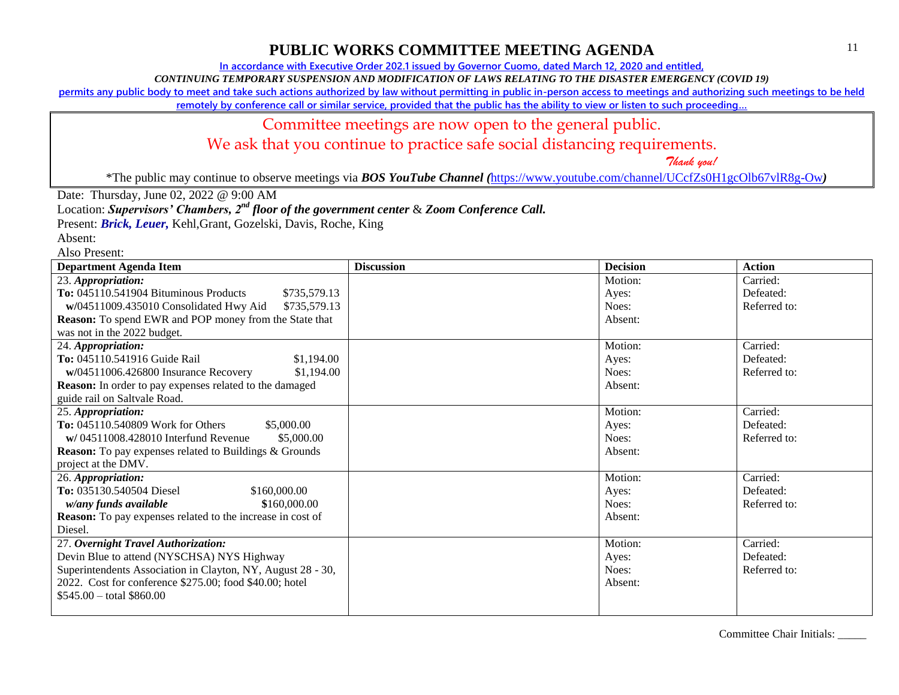**In accordance with Executive Order 202.1 issued by Governor Cuomo, dated March 12, 2020 and entitled,**

*CONTINUING TEMPORARY SUSPENSION AND MODIFICATION OF LAWS RELATING TO THE DISASTER EMERGENCY (COVID 19)*

**permits any public body to meet and take such actions authorized by law without permitting in public in-person access to meetings and authorizing such meetings to be held** 

**remotely by conference call or similar service, provided that the public has the ability to view or listen to such proceeding…**

### Committee meetings are now open to the general public.

We ask that you continue to practice safe social distancing requirements.

 *Thank you!*

\*The public may continue to observe meetings via *BOS YouTube Channel (*<https://www.youtube.com/channel/UCcfZs0H1gcOlb67vlR8g-Ow>*)*

Date: Thursday, June 02, 2022 @ 9:00 AM

Location: *Supervisors' Chambers, 2nd floor of the government center* & *Zoom Conference Call.*

Present: *Brick, Leuer,* Kehl,Grant, Gozelski, Davis, Roche, King

Absent:

Also Present:

| <b>Department Agenda Item</b>                                  | <b>Discussion</b> | <b>Decision</b> | <b>Action</b> |
|----------------------------------------------------------------|-------------------|-----------------|---------------|
| 23. Appropriation:                                             |                   | Motion:         | Carried:      |
| To: 045110.541904 Bituminous Products<br>\$735,579.13          |                   | Ayes:           | Defeated:     |
| w/04511009.435010 Consolidated Hwy Aid<br>\$735,579.13         |                   | Noes:           | Referred to:  |
| <b>Reason:</b> To spend EWR and POP money from the State that  |                   | Absent:         |               |
| was not in the 2022 budget.                                    |                   |                 |               |
| 24. Appropriation:                                             |                   | Motion:         | Carried:      |
| To: 045110.541916 Guide Rail<br>\$1,194.00                     |                   | Ayes:           | Defeated:     |
| w/04511006.426800 Insurance Recovery<br>\$1,194.00             |                   | Noes:           | Referred to:  |
| <b>Reason:</b> In order to pay expenses related to the damaged |                   | Absent:         |               |
| guide rail on Saltvale Road.                                   |                   |                 |               |
| 25. Appropriation:                                             |                   | Motion:         | Carried:      |
| To: 045110.540809 Work for Others<br>\$5,000.00                |                   | Ayes:           | Defeated:     |
| w/04511008.428010 Interfund Revenue<br>\$5,000.00              |                   | Noes:           | Referred to:  |
| <b>Reason:</b> To pay expenses related to Buildings & Grounds  |                   | Absent:         |               |
| project at the DMV.                                            |                   |                 |               |
| 26. Appropriation:                                             |                   | Motion:         | Carried:      |
| To: 035130.540504 Diesel<br>\$160,000.00                       |                   | Ayes:           | Defeated:     |
| w/any funds available<br>\$160,000.00                          |                   | Noes:           | Referred to:  |
| Reason: To pay expenses related to the increase in cost of     |                   | Absent:         |               |
| Diesel.                                                        |                   |                 |               |
| 27. Overnight Travel Authorization:                            |                   | Motion:         | Carried:      |
| Devin Blue to attend (NYSCHSA) NYS Highway                     |                   | Ayes:           | Defeated:     |
| Superintendents Association in Clayton, NY, August 28 - 30,    |                   | Noes:           | Referred to:  |
| 2022. Cost for conference \$275.00; food \$40.00; hotel        |                   | Absent:         |               |
| $$545.00 - total $860.00$                                      |                   |                 |               |
|                                                                |                   |                 |               |